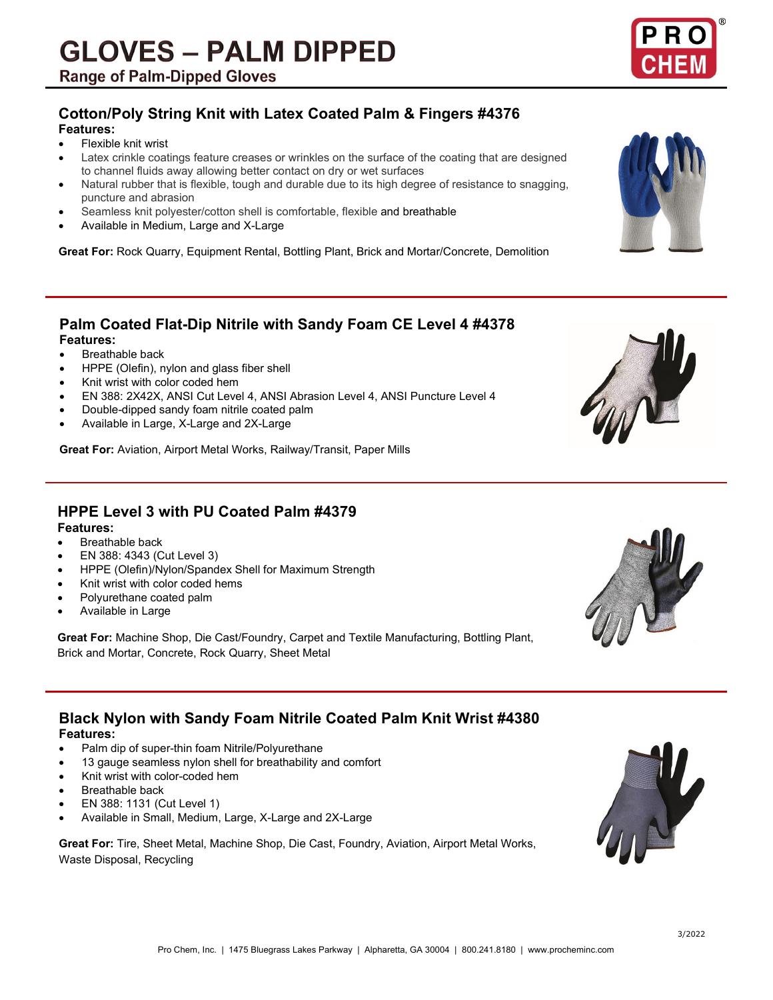# **Cotton/Poly String Knit with Latex Coated Palm & Fingers #4376**

### **Features:**

- Flexible knit wrist
- Latex crinkle coatings feature creases or wrinkles on the surface of the coating that are designed to channel fluids away allowing better contact on dry or wet surfaces
- Natural rubber that is flexible, tough and durable due to its high degree of resistance to snagging, puncture and abrasion
- Seamless knit polyester/cotton shell is comfortable, flexible and breathable
- Available in Medium, Large and X-Large

**Great For:** Rock Quarry, Equipment Rental, Bottling Plant, Brick and Mortar/Concrete, Demolition

# **Palm Coated Flat-Dip Nitrile with Sandy Foam CE Level 4 #4378**

#### **Features:**

- **Breathable back**
- HPPE (Olefin), nylon and glass fiber shell
- Knit wrist with color coded hem
- EN 388: 2X42X, ANSI Cut Level 4, ANSI Abrasion Level 4, ANSI Puncture Level 4
- Double-dipped sandy foam nitrile coated palm
- Available in Large, X-Large and 2X-Large

**Great For:** Aviation, Airport Metal Works, Railway/Transit, Paper Mills

# **HPPE Level 3 with PU Coated Palm #4379**

#### **Features:**

- **Breathable back**
- EN 388: 4343 (Cut Level 3)
- HPPE (Olefin)/Nylon/Spandex Shell for Maximum Strength
- Knit wrist with color coded hems
- Polyurethane coated palm
- Available in Large

**Great For:** Machine Shop, Die Cast/Foundry, Carpet and Textile Manufacturing, Bottling Plant, Brick and Mortar, Concrete, Rock Quarry, Sheet Metal

## **Black Nylon with Sandy Foam Nitrile Coated Palm Knit Wrist #4380 Features:**

- Palm dip of super-thin foam Nitrile/Polyurethane
- 13 gauge seamless nylon shell for breathability and comfort
- Knit wrist with color-coded hem
- **Breathable back**
- EN 388: 1131 (Cut Level 1)
- Available in Small, Medium, Large, X-Large and 2X-Large

**Great For:** Tire, Sheet Metal, Machine Shop, Die Cast, Foundry, Aviation, Airport Metal Works, Waste Disposal, Recycling



3/2022